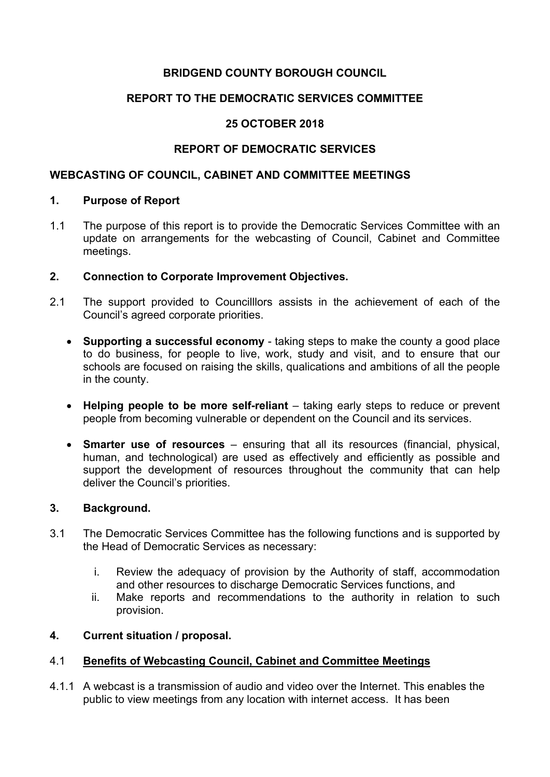### **BRIDGEND COUNTY BOROUGH COUNCIL**

### **REPORT TO THE DEMOCRATIC SERVICES COMMITTEE**

### **25 OCTOBER 2018**

### **REPORT OF DEMOCRATIC SERVICES**

#### **WEBCASTING OF COUNCIL, CABINET AND COMMITTEE MEETINGS**

#### **1. Purpose of Report**

1.1 The purpose of this report is to provide the Democratic Services Committee with an update on arrangements for the webcasting of Council, Cabinet and Committee meetings.

#### **2. Connection to Corporate Improvement Objectives.**

- 2.1 The support provided to Councilllors assists in the achievement of each of the Council's agreed corporate priorities.
	- **Supporting a successful economy** taking steps to make the county a good place to do business, for people to live, work, study and visit, and to ensure that our schools are focused on raising the skills, qualications and ambitions of all the people in the county.
	- **Helping people to be more self-reliant** taking early steps to reduce or prevent people from becoming vulnerable or dependent on the Council and its services.
	- **Smarter use of resources** ensuring that all its resources (financial, physical, human, and technological) are used as effectively and efficiently as possible and support the development of resources throughout the community that can help deliver the Council's priorities.

#### **3. Background.**

- 3.1 The Democratic Services Committee has the following functions and is supported by the Head of Democratic Services as necessary:
	- i. Review the adequacy of provision by the Authority of staff, accommodation and other resources to discharge Democratic Services functions, and
	- ii. Make reports and recommendations to the authority in relation to such provision.

#### **4. Current situation / proposal.**

#### 4.1 **Benefits of Webcasting Council, Cabinet and Committee Meetings**

4.1.1 A webcast is a transmission of audio and video over the Internet. This enables the public to view meetings from any location with internet access. It has been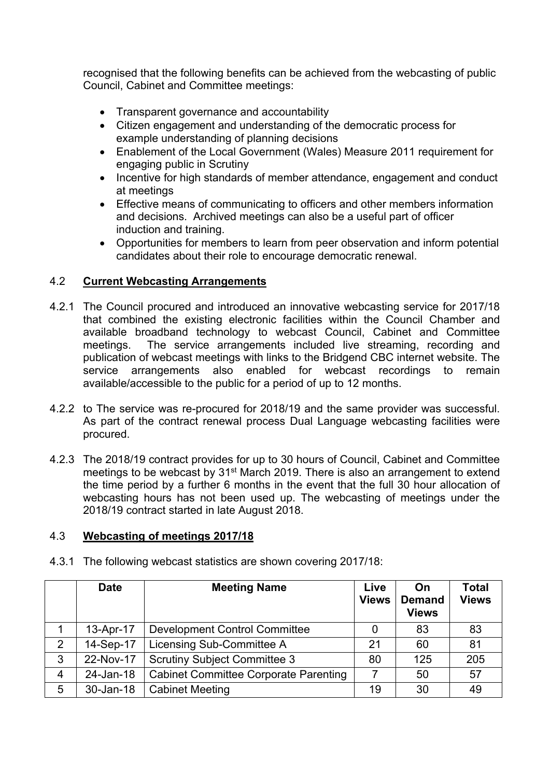recognised that the following benefits can be achieved from the webcasting of public Council, Cabinet and Committee meetings:

- Transparent governance and accountability
- Citizen engagement and understanding of the democratic process for example understanding of planning decisions
- Enablement of the Local Government (Wales) Measure 2011 requirement for engaging public in Scrutiny
- Incentive for high standards of member attendance, engagement and conduct at meetings
- Effective means of communicating to officers and other members information and decisions. Archived meetings can also be a useful part of officer induction and training.
- Opportunities for members to learn from peer observation and inform potential candidates about their role to encourage democratic renewal.

## 4.2 **Current Webcasting Arrangements**

- 4.2.1 The Council procured and introduced an innovative webcasting service for 2017/18 that combined the existing electronic facilities within the Council Chamber and available broadband technology to webcast Council, Cabinet and Committee meetings. The service arrangements included live streaming, recording and publication of webcast meetings with links to the Bridgend CBC internet website. The service arrangements also enabled for webcast recordings to remain available/accessible to the public for a period of up to 12 months.
- 4.2.2 to The service was re-procured for 2018/19 and the same provider was successful. As part of the contract renewal process Dual Language webcasting facilities were procured.
- 4.2.3 The 2018/19 contract provides for up to 30 hours of Council, Cabinet and Committee meetings to be webcast by 31st March 2019. There is also an arrangement to extend the time period by a further 6 months in the event that the full 30 hour allocation of webcasting hours has not been used up. The webcasting of meetings under the 2018/19 contract started in late August 2018.

## 4.3 **Webcasting of meetings 2017/18**

|   | <b>Date</b> | <b>Meeting Name</b>                          | Live<br><b>Views</b> | On<br><b>Demand</b><br><b>Views</b> | Total<br><b>Views</b> |
|---|-------------|----------------------------------------------|----------------------|-------------------------------------|-----------------------|
|   | 13-Apr-17   | <b>Development Control Committee</b>         |                      | 83                                  | 83                    |
| 2 | 14-Sep-17   | Licensing Sub-Committee A                    | 21                   | 60                                  | 81                    |
| 3 | 22-Nov-17   | <b>Scrutiny Subject Committee 3</b>          | 80                   | 125                                 | 205                   |
| 4 | 24-Jan-18   | <b>Cabinet Committee Corporate Parenting</b> | 7                    | 50                                  | 57                    |
| 5 | 30-Jan-18   | <b>Cabinet Meeting</b>                       | 19                   | 30                                  | 49                    |

4.3.1 The following webcast statistics are shown covering 2017/18: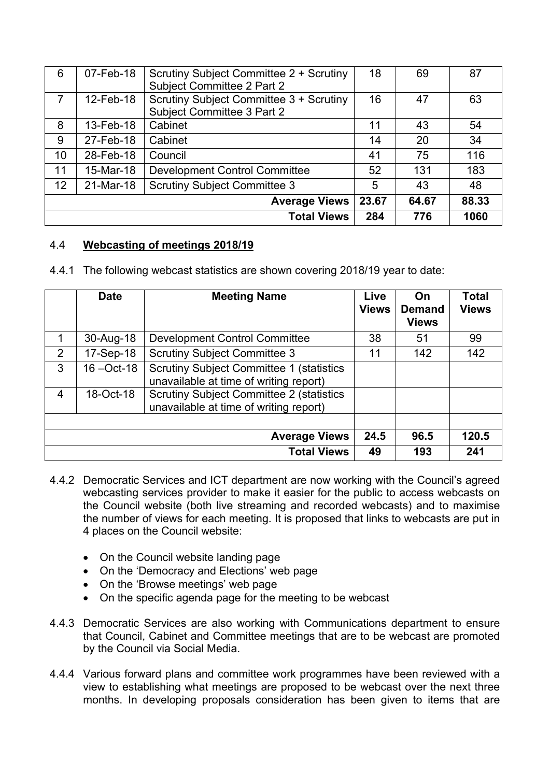| 6                    | 07-Feb-18 | Scrutiny Subject Committee 2 + Scrutiny<br>Subject Committee 2 Part 2 | 18    | 69    | 87    |
|----------------------|-----------|-----------------------------------------------------------------------|-------|-------|-------|
| $\overline{7}$       | 12-Feb-18 | Scrutiny Subject Committee 3 + Scrutiny<br>Subject Committee 3 Part 2 | 16    | 47    | 63    |
| 8                    | 13-Feb-18 | Cabinet                                                               | 11    | 43    | 54    |
| 9                    | 27-Feb-18 | Cabinet                                                               | 14    | 20    | 34    |
| 10                   | 28-Feb-18 | Council                                                               | 41    | 75    | 116   |
| 11                   | 15-Mar-18 | <b>Development Control Committee</b>                                  | 52    | 131   | 183   |
| 12                   | 21-Mar-18 | <b>Scrutiny Subject Committee 3</b>                                   | 5     | 43    | 48    |
| <b>Average Views</b> |           |                                                                       | 23.67 | 64.67 | 88.33 |
| <b>Total Views</b>   |           |                                                                       | 284   | 776   | 1060  |

# 4.4 **Webcasting of meetings 2018/19**

|  |  | 4.4.1 The following webcast statistics are shown covering 2018/19 year to date: |  |  |  |  |
|--|--|---------------------------------------------------------------------------------|--|--|--|--|
|--|--|---------------------------------------------------------------------------------|--|--|--|--|

|   | <b>Date</b>   | <b>Meeting Name</b>                                                                        | Live<br><b>Views</b> | On<br><b>Demand</b><br><b>Views</b> | <b>Total</b><br><b>Views</b> |
|---|---------------|--------------------------------------------------------------------------------------------|----------------------|-------------------------------------|------------------------------|
| 1 | 30-Aug-18     | <b>Development Control Committee</b>                                                       | 38                   | 51                                  | 99                           |
| 2 | 17-Sep-18     | <b>Scrutiny Subject Committee 3</b>                                                        | 11                   | 142                                 | 142                          |
| 3 | $16 - Oct-18$ | <b>Scrutiny Subject Committee 1 (statistics)</b><br>unavailable at time of writing report) |                      |                                     |                              |
| 4 | 18-Oct-18     | <b>Scrutiny Subject Committee 2 (statistics</b><br>unavailable at time of writing report)  |                      |                                     |                              |
|   |               |                                                                                            |                      |                                     |                              |
|   |               | <b>Average Views</b>                                                                       | 24.5                 | 96.5                                | 120.5                        |
|   |               | <b>Total Views</b>                                                                         | 49                   | 193                                 | 241                          |

- 4.4.2 Democratic Services and ICT department are now working with the Council's agreed webcasting services provider to make it easier for the public to access webcasts on the Council website (both live streaming and recorded webcasts) and to maximise the number of views for each meeting. It is proposed that links to webcasts are put in 4 places on the Council website:
	- On the Council website landing page
	- On the 'Democracy and Elections' web page
	- On the 'Browse meetings' web page
	- On the specific agenda page for the meeting to be webcast
- 4.4.3 Democratic Services are also working with Communications department to ensure that Council, Cabinet and Committee meetings that are to be webcast are promoted by the Council via Social Media.
- 4.4.4 Various forward plans and committee work programmes have been reviewed with a view to establishing what meetings are proposed to be webcast over the next three months. In developing proposals consideration has been given to items that are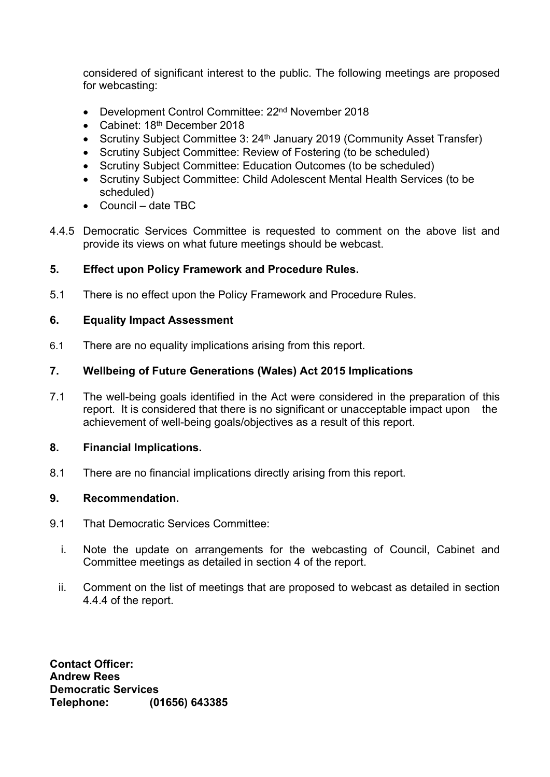considered of significant interest to the public. The following meetings are proposed for webcasting:

- Development Control Committee: 22<sup>nd</sup> November 2018
- Cabinet: 18<sup>th</sup> December 2018
- Scrutiny Subject Committee 3: 24<sup>th</sup> January 2019 (Community Asset Transfer)
- Scrutiny Subject Committee: Review of Fostering (to be scheduled)
- Scrutiny Subject Committee: Education Outcomes (to be scheduled)
- Scrutiny Subject Committee: Child Adolescent Mental Health Services (to be scheduled)
- Council date TBC
- 4.4.5 Democratic Services Committee is requested to comment on the above list and provide its views on what future meetings should be webcast.

# **5. Effect upon Policy Framework and Procedure Rules.**

5.1 There is no effect upon the Policy Framework and Procedure Rules.

## **6. Equality Impact Assessment**

6.1 There are no equality implications arising from this report.

# **7. Wellbeing of Future Generations (Wales) Act 2015 Implications**

7.1 The well-being goals identified in the Act were considered in the preparation of this report. It is considered that there is no significant or unacceptable impact upon the achievement of well-being goals/objectives as a result of this report.

## **8. Financial Implications.**

8.1 There are no financial implications directly arising from this report.

## **9. Recommendation.**

- 9.1 That Democratic Services Committee:
	- i. Note the update on arrangements for the webcasting of Council, Cabinet and Committee meetings as detailed in section 4 of the report.
	- ii. Comment on the list of meetings that are proposed to webcast as detailed in section 4.4.4 of the report.

**Contact Officer: Andrew Rees Democratic Services Telephone: (01656) 643385**